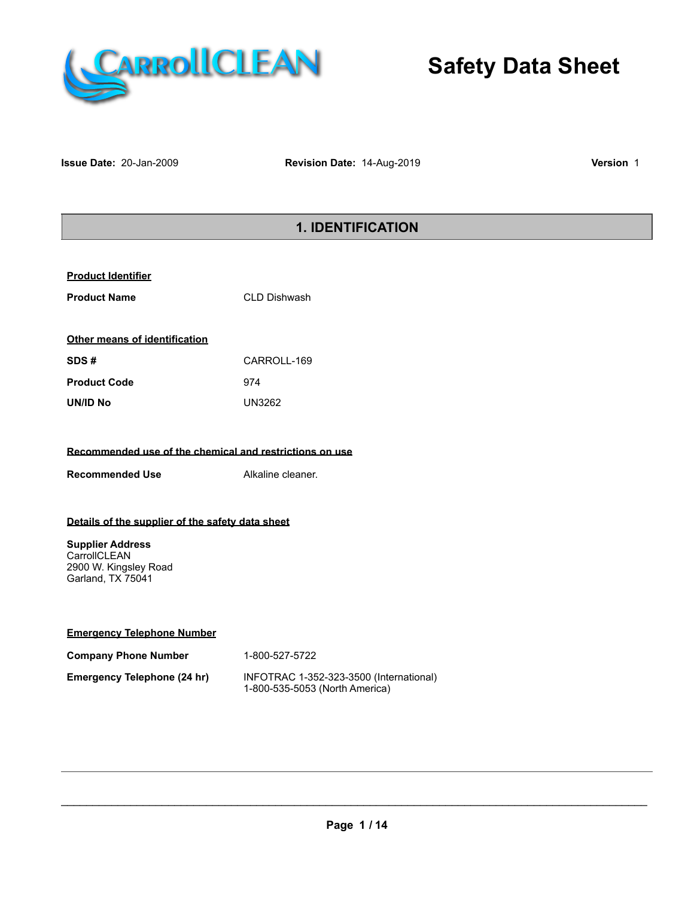

**Issue Date:** 20-Jan-2009 **Revision Date:** 14-Aug-2019 **Version** 1

# **1. IDENTIFICATION**

| <b>Other means of identification</b> |             |  |  |
|--------------------------------------|-------------|--|--|
| SDS#                                 | CARROLL-169 |  |  |
| <b>Product Code</b>                  | 974         |  |  |
| UN/ID No                             | UN3262      |  |  |

#### **Recommended use of the chemical and restrictions on use**

**Recommended Use** Alkaline cleaner.

#### **Details of the supplier of the safety data sheet**

**Supplier Address CarrollCLEAN** 2900 W. Kingsley Road Garland, TX 75041

| <b>Emergency Telephone Number</b> |  |
|-----------------------------------|--|
|                                   |  |

| <b>Company Phone Number</b> | 1-800-527-5722                                                            |
|-----------------------------|---------------------------------------------------------------------------|
| Emergency Telephone (24 hr) | INFOTRAC 1-352-323-3500 (International)<br>1-800-535-5053 (North America) |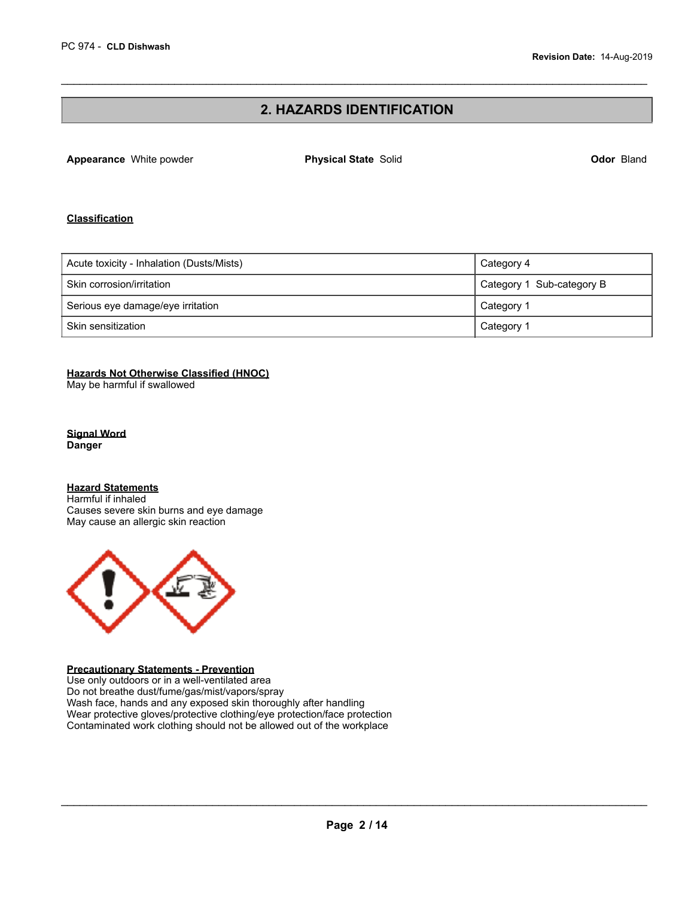### **2. HAZARDS IDENTIFICATION**

 $\mathcal{L}_\mathcal{L} = \{ \mathcal{L}_\mathcal{L} = \{ \mathcal{L}_\mathcal{L} = \{ \mathcal{L}_\mathcal{L} = \{ \mathcal{L}_\mathcal{L} = \{ \mathcal{L}_\mathcal{L} = \{ \mathcal{L}_\mathcal{L} = \{ \mathcal{L}_\mathcal{L} = \{ \mathcal{L}_\mathcal{L} = \{ \mathcal{L}_\mathcal{L} = \{ \mathcal{L}_\mathcal{L} = \{ \mathcal{L}_\mathcal{L} = \{ \mathcal{L}_\mathcal{L} = \{ \mathcal{L}_\mathcal{L} = \{ \mathcal{L}_\mathcal{$ 

**Appearance** White powder **Physical State** Solid **Odor** Bland

#### **Classification**

| Acute toxicity - Inhalation (Dusts/Mists) | Category 4                |
|-------------------------------------------|---------------------------|
| Skin corrosion/irritation                 | Category 1 Sub-category B |
| Serious eye damage/eye irritation         | Category 1                |
| Skin sensitization                        | Category 1                |

#### **Hazards Not Otherwise Classified (HNOC)**

May be harmful if swallowed

**Signal Word Danger** 

**Hazard Statements** 

Harmful if inhaled Causes severe skin burns and eye damage May cause an allergic skin reaction



#### **Precautionary Statements - Prevention**

Use only outdoors or in a well-ventilated area Do not breathe dust/fume/gas/mist/vapors/spray Wash face, hands and any exposed skin thoroughly after handling Wear protective gloves/protective clothing/eye protection/face protection Contaminated work clothing should not be allowed out of the workplace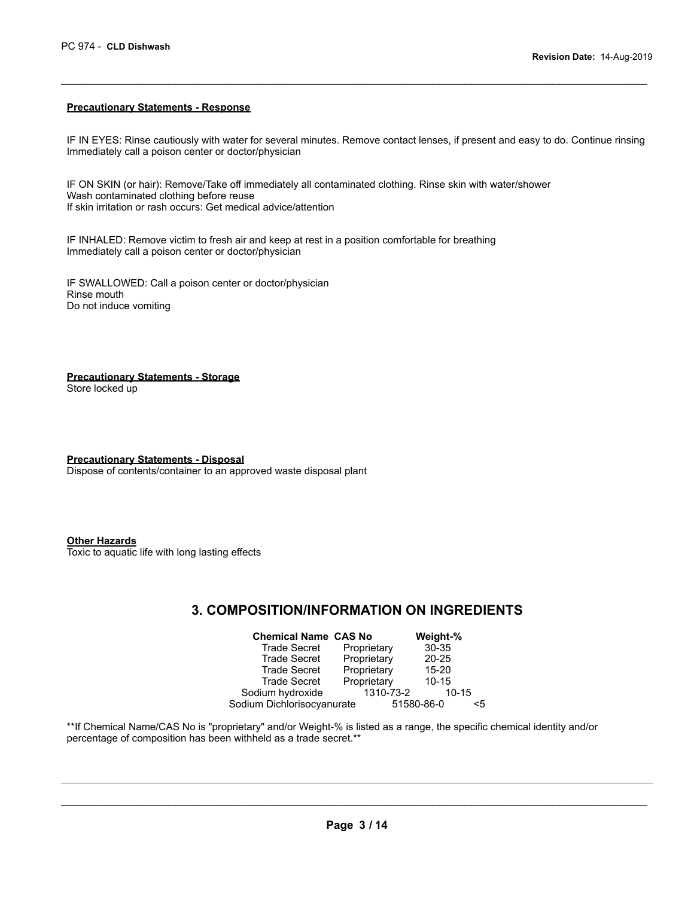#### **Precautionary Statements - Response**

IF IN EYES: Rinse cautiously with water for several minutes. Remove contact lenses, if present and easy to do. Continue rinsing Immediately call a poison center or doctor/physician

 $\mathcal{L}_\mathcal{L} = \{ \mathcal{L}_\mathcal{L} = \{ \mathcal{L}_\mathcal{L} = \{ \mathcal{L}_\mathcal{L} = \{ \mathcal{L}_\mathcal{L} = \{ \mathcal{L}_\mathcal{L} = \{ \mathcal{L}_\mathcal{L} = \{ \mathcal{L}_\mathcal{L} = \{ \mathcal{L}_\mathcal{L} = \{ \mathcal{L}_\mathcal{L} = \{ \mathcal{L}_\mathcal{L} = \{ \mathcal{L}_\mathcal{L} = \{ \mathcal{L}_\mathcal{L} = \{ \mathcal{L}_\mathcal{L} = \{ \mathcal{L}_\mathcal{$ 

IF ON SKIN (or hair): Remove/Take off immediately all contaminated clothing. Rinse skin with water/shower Wash contaminated clothing before reuse If skin irritation or rash occurs: Get medical advice/attention

IF INHALED: Remove victim to fresh air and keep at rest in a position comfortable for breathing Immediately call a poison center or doctor/physician

IF SWALLOWED: Call a poison center or doctor/physician Rinse mouth Do not induce vomiting

**Precautionary Statements - Storage**  Store locked up

**Precautionary Statements - Disposal**  Dispose of contents/container to an approved waste disposal plant

**Other Hazards** 

Toxic to aquatic life with long lasting effects

### **3. COMPOSITION/INFORMATION ON INGREDIENTS**

| <b>Chemical Name CAS No</b> |             | Weight-%   |    |
|-----------------------------|-------------|------------|----|
| <b>Trade Secret</b>         | Proprietary | 30-35      |    |
| <b>Trade Secret</b>         | Proprietary | $20 - 25$  |    |
| <b>Trade Secret</b>         | Proprietary | $15 - 20$  |    |
| <b>Trade Secret</b>         | Proprietary | $10 - 15$  |    |
| Sodium hydroxide            | 1310-73-2   | $10 - 15$  |    |
| Sodium Dichlorisocyanurate  |             | 51580-86-0 | <5 |

\*\*If Chemical Name/CAS No is "proprietary" and/or Weight-% is listed as a range, the specific chemical identity and/or percentage of composition has been withheld as a trade secret.\*\*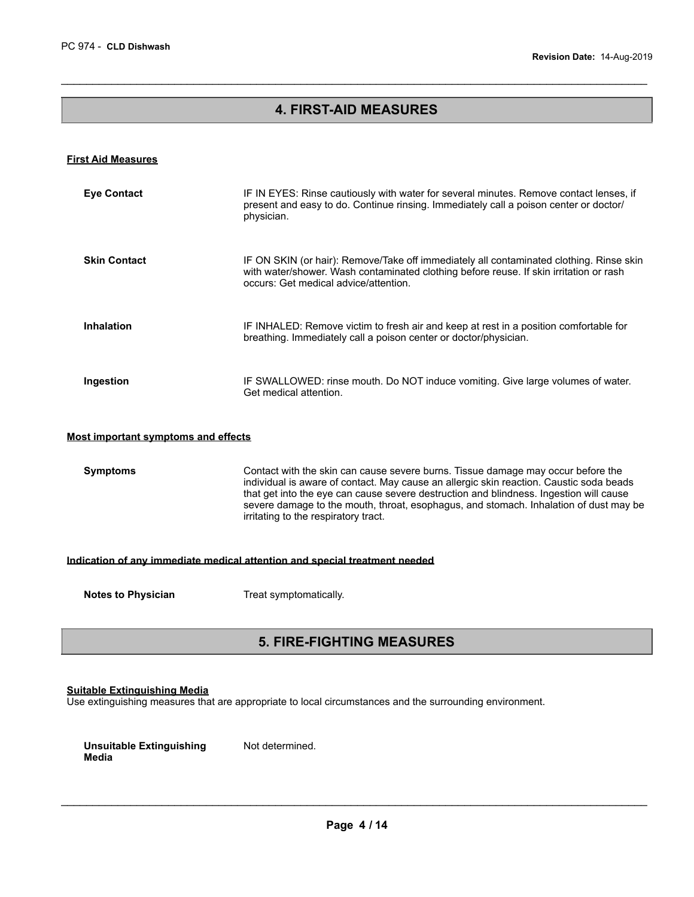# **4. FIRST-AID MEASURES**

 $\mathcal{L}_\mathcal{L} = \{ \mathcal{L}_\mathcal{L} = \{ \mathcal{L}_\mathcal{L} = \{ \mathcal{L}_\mathcal{L} = \{ \mathcal{L}_\mathcal{L} = \{ \mathcal{L}_\mathcal{L} = \{ \mathcal{L}_\mathcal{L} = \{ \mathcal{L}_\mathcal{L} = \{ \mathcal{L}_\mathcal{L} = \{ \mathcal{L}_\mathcal{L} = \{ \mathcal{L}_\mathcal{L} = \{ \mathcal{L}_\mathcal{L} = \{ \mathcal{L}_\mathcal{L} = \{ \mathcal{L}_\mathcal{L} = \{ \mathcal{L}_\mathcal{$ 

#### **First Aid Measures**

| <b>Eye Contact</b>                                                         | IF IN EYES: Rinse cautiously with water for several minutes. Remove contact lenses, if<br>present and easy to do. Continue rinsing. Immediately call a poison center or doctor/<br>physician.                                                                                                                                                                                                          |  |  |
|----------------------------------------------------------------------------|--------------------------------------------------------------------------------------------------------------------------------------------------------------------------------------------------------------------------------------------------------------------------------------------------------------------------------------------------------------------------------------------------------|--|--|
| <b>Skin Contact</b>                                                        | IF ON SKIN (or hair): Remove/Take off immediately all contaminated clothing. Rinse skin<br>with water/shower. Wash contaminated clothing before reuse. If skin irritation or rash<br>occurs: Get medical advice/attention.                                                                                                                                                                             |  |  |
| <b>Inhalation</b>                                                          | IF INHALED: Remove victim to fresh air and keep at rest in a position comfortable for<br>breathing. Immediately call a poison center or doctor/physician.                                                                                                                                                                                                                                              |  |  |
| Ingestion                                                                  | IF SWALLOWED: rinse mouth. Do NOT induce vomiting. Give large volumes of water.<br>Get medical attention.                                                                                                                                                                                                                                                                                              |  |  |
| Most important symptoms and effects                                        |                                                                                                                                                                                                                                                                                                                                                                                                        |  |  |
| <b>Symptoms</b>                                                            | Contact with the skin can cause severe burns. Tissue damage may occur before the<br>individual is aware of contact. May cause an allergic skin reaction. Caustic soda beads<br>that get into the eye can cause severe destruction and blindness. Ingestion will cause<br>severe damage to the mouth, throat, esophagus, and stomach. Inhalation of dust may be<br>irritating to the respiratory tract. |  |  |
| Indication of any immediate medical attention and special treatment needed |                                                                                                                                                                                                                                                                                                                                                                                                        |  |  |
| <b>Notes to Physician</b>                                                  | Treat symptomatically.                                                                                                                                                                                                                                                                                                                                                                                 |  |  |

### **5. FIRE-FIGHTING MEASURES**

### **Suitable Extinguishing Media**

Use extinguishing measures that are appropriate to local circumstances and the surrounding environment.

| Unsuitable Extinguishing | Not determined. |
|--------------------------|-----------------|
| Media                    |                 |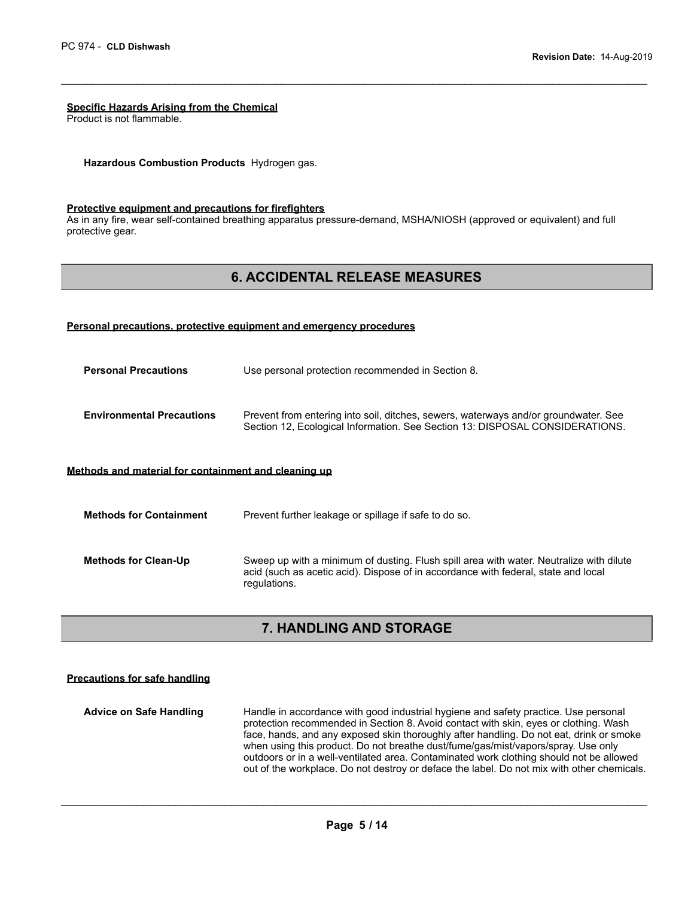#### **Specific Hazards Arising from the Chemical**

Product is not flammable.

**Hazardous Combustion Products** Hydrogen gas.

#### **Protective equipment and precautions for firefighters**

As in any fire, wear self-contained breathing apparatus pressure-demand, MSHA/NIOSH (approved or equivalent) and full protective gear.

### **6. ACCIDENTAL RELEASE MEASURES**

 $\mathcal{L}_\mathcal{L} = \{ \mathcal{L}_\mathcal{L} = \{ \mathcal{L}_\mathcal{L} = \{ \mathcal{L}_\mathcal{L} = \{ \mathcal{L}_\mathcal{L} = \{ \mathcal{L}_\mathcal{L} = \{ \mathcal{L}_\mathcal{L} = \{ \mathcal{L}_\mathcal{L} = \{ \mathcal{L}_\mathcal{L} = \{ \mathcal{L}_\mathcal{L} = \{ \mathcal{L}_\mathcal{L} = \{ \mathcal{L}_\mathcal{L} = \{ \mathcal{L}_\mathcal{L} = \{ \mathcal{L}_\mathcal{L} = \{ \mathcal{L}_\mathcal{$ 

#### **Personal precautions, protective equipment and emergency procedures**

**Personal Precautions** Use personal protection recommended in Section 8. **Environmental Precautions** Prevent from entering into soil, ditches, sewers, waterways and/or groundwater. See Section 12, Ecological Information. See Section 13: DISPOSAL CONSIDERATIONS.

#### **Methods and material for containment and cleaning up**

| <b>Methods for Containment</b> | Prevent further leakage or spillage if safe to do so.                                                                                                                                         |
|--------------------------------|-----------------------------------------------------------------------------------------------------------------------------------------------------------------------------------------------|
| <b>Methods for Clean-Up</b>    | Sweep up with a minimum of dusting. Flush spill area with water. Neutralize with dilute<br>acid (such as acetic acid). Dispose of in accordance with federal, state and local<br>regulations. |

# **7. HANDLING AND STORAGE**

#### **Precautions for safe handling**

**Advice on Safe Handling** Handle in accordance with good industrial hygiene and safety practice. Use personal protection recommended in Section 8. Avoid contact with skin, eyes or clothing. Wash face, hands, and any exposed skin thoroughly after handling. Do not eat, drink or smoke when using this product. Do not breathe dust/fume/gas/mist/vapors/spray. Use only outdoors or in a well-ventilated area. Contaminated work clothing should not be allowed out of the workplace. Do not destroy or deface the label. Do not mix with other chemicals.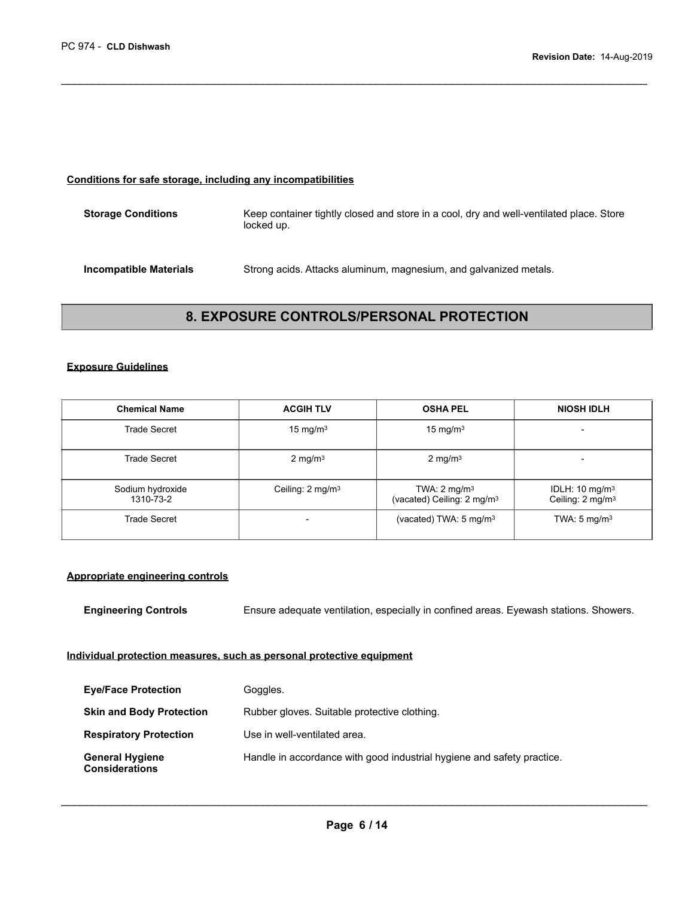#### **Conditions for safe storage, including any incompatibilities**

| <b>Storage Conditions</b> | Keep container tightly closed and store in a cool, dry and well-ventilated place. Store<br>locked up. |
|---------------------------|-------------------------------------------------------------------------------------------------------|
| Incompatible Materials    | Strong acids. Attacks aluminum, magnesium, and galvanized metals.                                     |

 $\mathcal{L}_\mathcal{L} = \{ \mathcal{L}_\mathcal{L} = \{ \mathcal{L}_\mathcal{L} = \{ \mathcal{L}_\mathcal{L} = \{ \mathcal{L}_\mathcal{L} = \{ \mathcal{L}_\mathcal{L} = \{ \mathcal{L}_\mathcal{L} = \{ \mathcal{L}_\mathcal{L} = \{ \mathcal{L}_\mathcal{L} = \{ \mathcal{L}_\mathcal{L} = \{ \mathcal{L}_\mathcal{L} = \{ \mathcal{L}_\mathcal{L} = \{ \mathcal{L}_\mathcal{L} = \{ \mathcal{L}_\mathcal{L} = \{ \mathcal{L}_\mathcal{$ 

### **8. EXPOSURE CONTROLS/PERSONAL PROTECTION**

#### **Exposure Guidelines**

| <b>Chemical Name</b>          | <b>ACGIH TLV</b>            | <b>OSHA PEL</b>                                                   | <b>NIOSH IDLH</b>                                         |
|-------------------------------|-----------------------------|-------------------------------------------------------------------|-----------------------------------------------------------|
| <b>Trade Secret</b>           | 15 mg/m $3$                 | 15 mg/m $3$                                                       |                                                           |
| Trade Secret                  | $2 \text{ mg/m}^3$          | $2 \text{ mg/m}^3$                                                |                                                           |
| Sodium hydroxide<br>1310-73-2 | Ceiling: $2 \text{ mg/m}^3$ | TWA: $2 \text{ mg/m}^3$<br>(vacated) Ceiling: 2 mg/m <sup>3</sup> | IDLH: $10 \text{ mg/m}^3$<br>Ceiling: 2 mg/m <sup>3</sup> |
| <b>Trade Secret</b>           |                             | (vacated) TWA: $5 \text{ mg/m}^3$                                 | TWA: $5 \text{ mg/m}^3$                                   |

#### **Appropriate engineering controls**

**Engineering Controls** Ensure adequate ventilation, especially in confined areas. Eyewash stations. Showers.

#### **Individual protection measures, such as personal protective equipment**

| <b>Eye/Face Protection</b>                      | Goggles.                                                               |
|-------------------------------------------------|------------------------------------------------------------------------|
| <b>Skin and Body Protection</b>                 | Rubber gloves. Suitable protective clothing.                           |
| <b>Respiratory Protection</b>                   | Use in well-ventilated area.                                           |
| <b>General Hygiene</b><br><b>Considerations</b> | Handle in accordance with good industrial hygiene and safety practice. |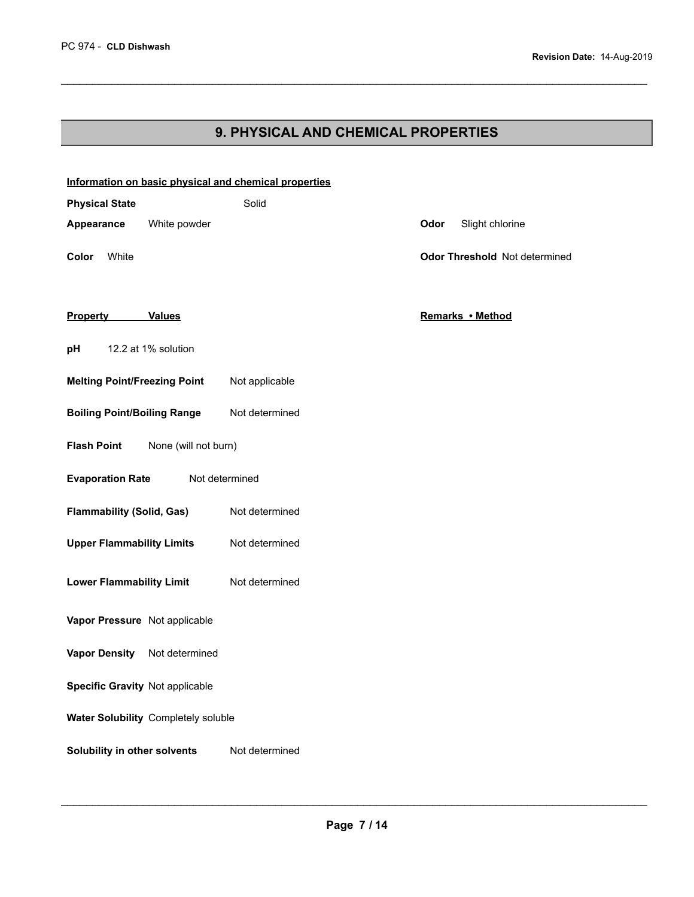# **9. PHYSICAL AND CHEMICAL PROPERTIES**

 $\mathcal{L}_\mathcal{L} = \{ \mathcal{L}_\mathcal{L} = \{ \mathcal{L}_\mathcal{L} = \{ \mathcal{L}_\mathcal{L} = \{ \mathcal{L}_\mathcal{L} = \{ \mathcal{L}_\mathcal{L} = \{ \mathcal{L}_\mathcal{L} = \{ \mathcal{L}_\mathcal{L} = \{ \mathcal{L}_\mathcal{L} = \{ \mathcal{L}_\mathcal{L} = \{ \mathcal{L}_\mathcal{L} = \{ \mathcal{L}_\mathcal{L} = \{ \mathcal{L}_\mathcal{L} = \{ \mathcal{L}_\mathcal{L} = \{ \mathcal{L}_\mathcal{$ 

| Information on basic physical and chemical properties |                |                               |
|-------------------------------------------------------|----------------|-------------------------------|
| <b>Physical State</b>                                 | Solid          |                               |
| White powder<br>Appearance                            |                | Odor<br>Slight chlorine       |
| Color<br>White                                        |                | Odor Threshold Not determined |
| <b>Property</b><br><b>Values</b>                      |                | Remarks • Method              |
| 12.2 at 1% solution<br>рH                             |                |                               |
| <b>Melting Point/Freezing Point</b>                   | Not applicable |                               |
| <b>Boiling Point/Boiling Range</b>                    | Not determined |                               |
| <b>Flash Point</b><br>None (will not burn)            |                |                               |
| <b>Evaporation Rate</b>                               | Not determined |                               |
| <b>Flammability (Solid, Gas)</b>                      | Not determined |                               |
| <b>Upper Flammability Limits</b>                      | Not determined |                               |
| <b>Lower Flammability Limit</b>                       | Not determined |                               |
| Vapor Pressure Not applicable                         |                |                               |
| <b>Vapor Density</b><br>Not determined                |                |                               |
| Specific Gravity Not applicable                       |                |                               |
| Water Solubility Completely soluble                   |                |                               |
| Solubility in other solvents                          | Not determined |                               |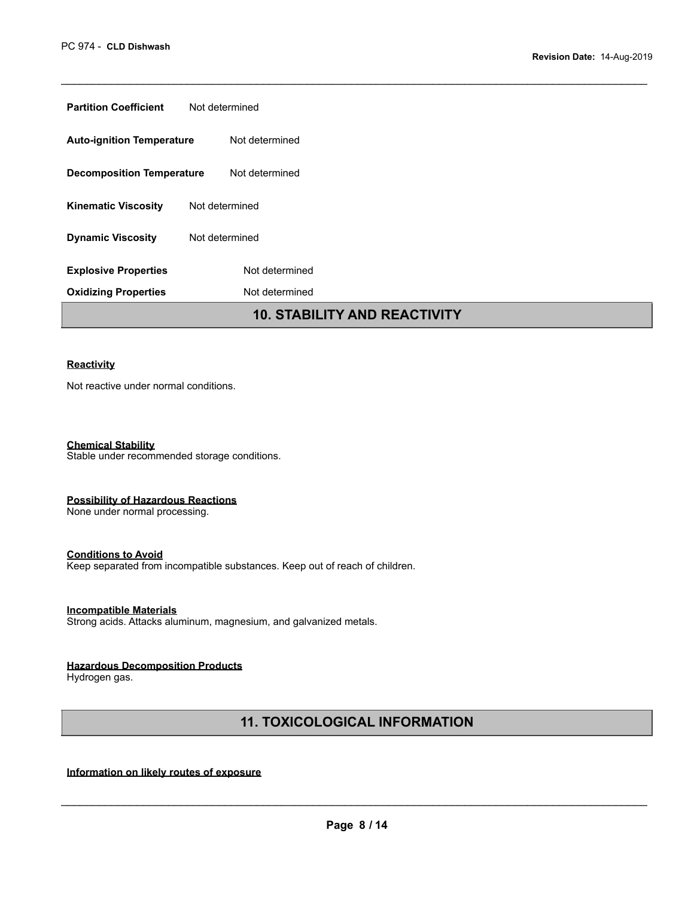| <b>Partition Coefficient</b>     | Not determined                      |  |
|----------------------------------|-------------------------------------|--|
| <b>Auto-ignition Temperature</b> | Not determined                      |  |
| <b>Decomposition Temperature</b> | Not determined                      |  |
| <b>Kinematic Viscosity</b>       | Not determined                      |  |
| <b>Dynamic Viscosity</b>         | Not determined                      |  |
| <b>Explosive Properties</b>      | Not determined                      |  |
| <b>Oxidizing Properties</b>      | Not determined                      |  |
|                                  | <b>10. STABILITY AND REACTIVITY</b> |  |

 $\mathcal{L}_\mathcal{L} = \{ \mathcal{L}_\mathcal{L} = \{ \mathcal{L}_\mathcal{L} = \{ \mathcal{L}_\mathcal{L} = \{ \mathcal{L}_\mathcal{L} = \{ \mathcal{L}_\mathcal{L} = \{ \mathcal{L}_\mathcal{L} = \{ \mathcal{L}_\mathcal{L} = \{ \mathcal{L}_\mathcal{L} = \{ \mathcal{L}_\mathcal{L} = \{ \mathcal{L}_\mathcal{L} = \{ \mathcal{L}_\mathcal{L} = \{ \mathcal{L}_\mathcal{L} = \{ \mathcal{L}_\mathcal{L} = \{ \mathcal{L}_\mathcal{$ 

#### **Reactivity**

Not reactive under normal conditions.

**Chemical Stability**  Stable under recommended storage conditions.

#### **Possibility of Hazardous Reactions**

None under normal processing.

#### **Conditions to Avoid**

Keep separated from incompatible substances. Keep out of reach of children.

#### **Incompatible Materials**

Strong acids. Attacks aluminum, magnesium, and galvanized metals.

#### **Hazardous Decomposition Products**

Hydrogen gas.

# **11. TOXICOLOGICAL INFORMATION**

### **Information on likely routes of exposure**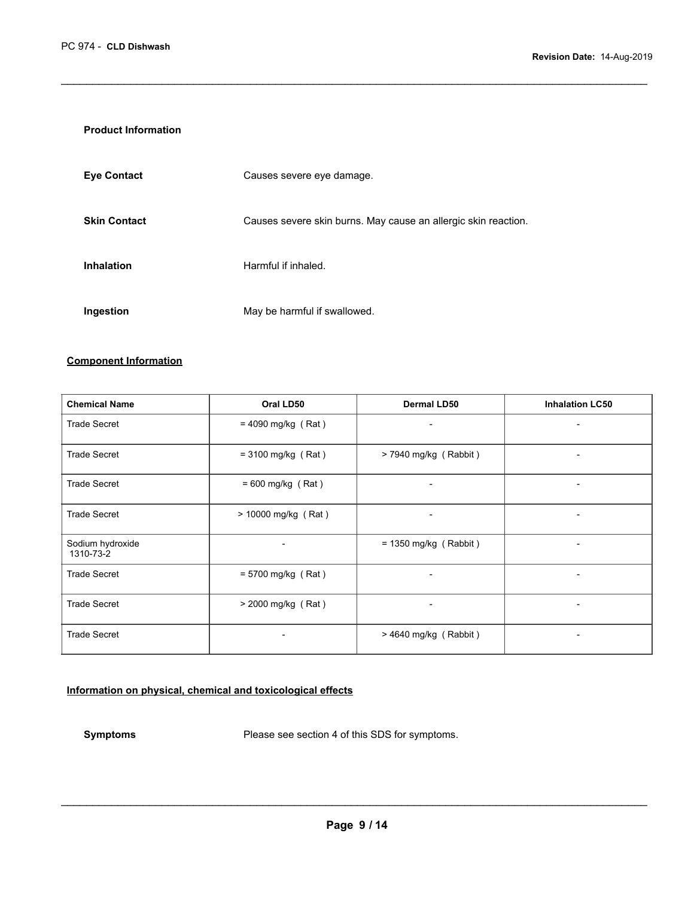#### **Product Information**

| <b>Eye Contact</b>  | Causes severe eye damage.                                      |
|---------------------|----------------------------------------------------------------|
| <b>Skin Contact</b> | Causes severe skin burns. May cause an allergic skin reaction. |
| <b>Inhalation</b>   | Harmful if inhaled.                                            |
| Ingestion           | May be harmful if swallowed.                                   |

 $\mathcal{L}_\mathcal{L} = \{ \mathcal{L}_\mathcal{L} = \{ \mathcal{L}_\mathcal{L} = \{ \mathcal{L}_\mathcal{L} = \{ \mathcal{L}_\mathcal{L} = \{ \mathcal{L}_\mathcal{L} = \{ \mathcal{L}_\mathcal{L} = \{ \mathcal{L}_\mathcal{L} = \{ \mathcal{L}_\mathcal{L} = \{ \mathcal{L}_\mathcal{L} = \{ \mathcal{L}_\mathcal{L} = \{ \mathcal{L}_\mathcal{L} = \{ \mathcal{L}_\mathcal{L} = \{ \mathcal{L}_\mathcal{L} = \{ \mathcal{L}_\mathcal{$ 

#### **Component Information**

| <b>Chemical Name</b>          | Oral LD50                | <b>Dermal LD50</b>           | <b>Inhalation LC50</b>   |
|-------------------------------|--------------------------|------------------------------|--------------------------|
| <b>Trade Secret</b>           | $= 4090$ mg/kg (Rat)     | $\overline{\phantom{a}}$     | $\overline{\phantom{a}}$ |
| <b>Trade Secret</b>           | $= 3100$ mg/kg (Rat)     | $> 7940$ mg/kg (Rabbit)      | $\overline{\phantom{a}}$ |
| <b>Trade Secret</b>           | $= 600$ mg/kg (Rat)      | $\qquad \qquad \blacksquare$ | $\overline{\phantom{a}}$ |
| <b>Trade Secret</b>           | $> 10000$ mg/kg (Rat)    | $\overline{\phantom{a}}$     | $\overline{\phantom{a}}$ |
| Sodium hydroxide<br>1310-73-2 |                          | $= 1350$ mg/kg (Rabbit)      | $\overline{\phantom{a}}$ |
| <b>Trade Secret</b>           | $= 5700$ mg/kg (Rat)     | $\qquad \qquad \blacksquare$ | $\overline{\phantom{a}}$ |
| <b>Trade Secret</b>           | > 2000 mg/kg (Rat)       | $\qquad \qquad \blacksquare$ | $\overline{\phantom{a}}$ |
| <b>Trade Secret</b>           | $\overline{\phantom{a}}$ | $>$ 4640 mg/kg (Rabbit)      | $\overline{\phantom{a}}$ |

#### **Information on physical, chemical and toxicological effects**

**Symptoms** Please see section 4 of this SDS for symptoms.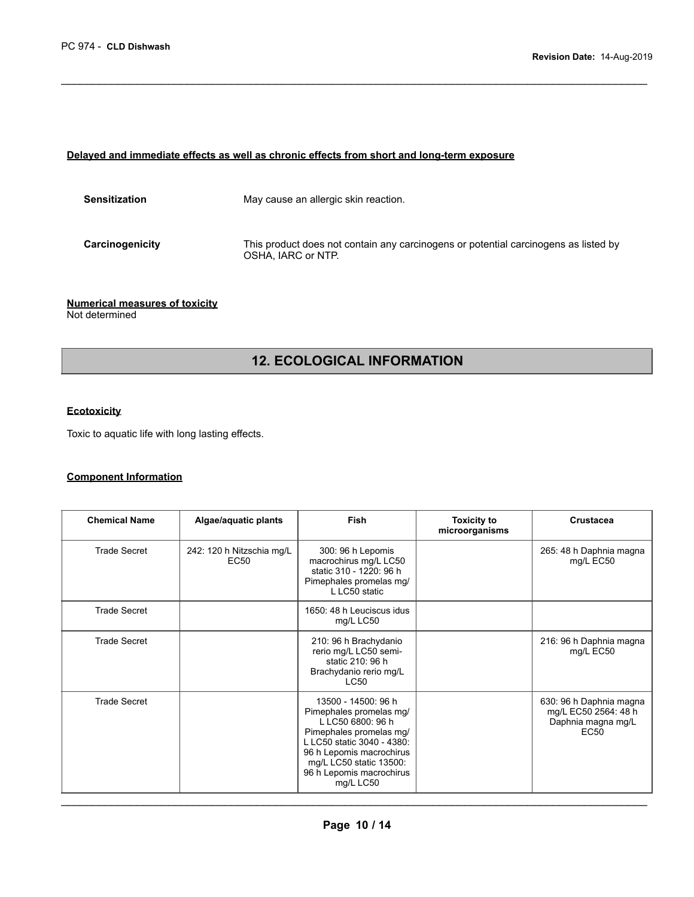#### **Delayed and immediate effects as well as chronic effects from short and long-term exposure**

| <b>Sensitization</b> | May cause an allergic skin reaction.                                                                      |
|----------------------|-----------------------------------------------------------------------------------------------------------|
| Carcinogenicity      | This product does not contain any carcinogens or potential carcinogens as listed by<br>OSHA. IARC or NTP. |

 $\mathcal{L}_\mathcal{L} = \{ \mathcal{L}_\mathcal{L} = \{ \mathcal{L}_\mathcal{L} = \{ \mathcal{L}_\mathcal{L} = \{ \mathcal{L}_\mathcal{L} = \{ \mathcal{L}_\mathcal{L} = \{ \mathcal{L}_\mathcal{L} = \{ \mathcal{L}_\mathcal{L} = \{ \mathcal{L}_\mathcal{L} = \{ \mathcal{L}_\mathcal{L} = \{ \mathcal{L}_\mathcal{L} = \{ \mathcal{L}_\mathcal{L} = \{ \mathcal{L}_\mathcal{L} = \{ \mathcal{L}_\mathcal{L} = \{ \mathcal{L}_\mathcal{$ 

#### **Numerical measures of toxicity**  Not determined

### **12. ECOLOGICAL INFORMATION**

### **Ecotoxicity**

Toxic to aquatic life with long lasting effects.

#### **Component Information**

| <b>Chemical Name</b> | Algae/aquatic plants                          | <b>Fish</b>                                                                                                                                                                                                                  | <b>Toxicity to</b><br>microorganisms | Crustacea                                                                                 |
|----------------------|-----------------------------------------------|------------------------------------------------------------------------------------------------------------------------------------------------------------------------------------------------------------------------------|--------------------------------------|-------------------------------------------------------------------------------------------|
| <b>Trade Secret</b>  | 242: 120 h Nitzschia mg/L<br>EC <sub>50</sub> | 300: 96 h Lepomis<br>macrochirus mg/L LC50<br>static 310 - 1220: 96 h<br>Pimephales promelas mg/<br>L LC50 static                                                                                                            |                                      | 265: 48 h Daphnia magna<br>mg/L EC50                                                      |
| <b>Trade Secret</b>  |                                               | 1650: 48 h Leuciscus idus<br>mg/L LC50                                                                                                                                                                                       |                                      |                                                                                           |
| <b>Trade Secret</b>  |                                               | 210: 96 h Brachydanio<br>rerio mg/L LC50 semi-<br>static 210: 96 h<br>Brachydanio rerio mg/L<br><b>LC50</b>                                                                                                                  |                                      | 216: 96 h Daphnia magna<br>mg/L EC50                                                      |
| <b>Trade Secret</b>  |                                               | 13500 - 14500: 96 h<br>Pimephales promelas mg/<br>L LC50 6800: 96 h<br>Pimephales promelas mg/<br>L LC50 static 3040 - 4380:<br>96 h Lepomis macrochirus<br>mg/L LC50 static 13500:<br>96 h Lepomis macrochirus<br>mg/L LC50 |                                      | 630: 96 h Daphnia magna<br>mg/L EC50 2564: 48 h<br>Daphnia magna mg/L<br>EC <sub>50</sub> |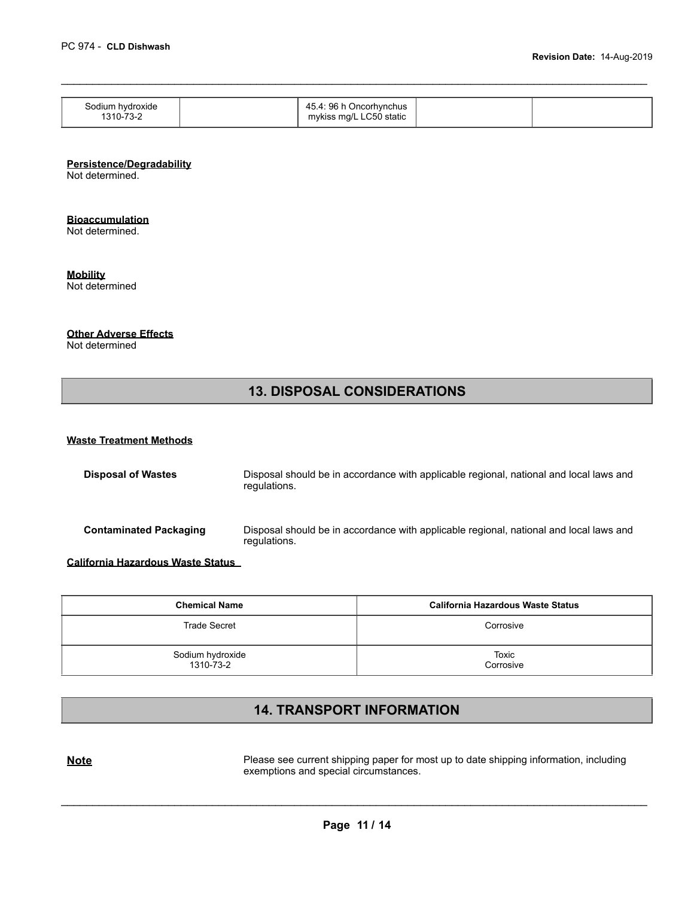| Sodium hydroxide<br>1310-73-2 | 45.4: 96 h Oncorhynchus<br>mykiss mg/L LC50 static |  |
|-------------------------------|----------------------------------------------------|--|

 $\mathcal{L}_\mathcal{L} = \{ \mathcal{L}_\mathcal{L} = \{ \mathcal{L}_\mathcal{L} = \{ \mathcal{L}_\mathcal{L} = \{ \mathcal{L}_\mathcal{L} = \{ \mathcal{L}_\mathcal{L} = \{ \mathcal{L}_\mathcal{L} = \{ \mathcal{L}_\mathcal{L} = \{ \mathcal{L}_\mathcal{L} = \{ \mathcal{L}_\mathcal{L} = \{ \mathcal{L}_\mathcal{L} = \{ \mathcal{L}_\mathcal{L} = \{ \mathcal{L}_\mathcal{L} = \{ \mathcal{L}_\mathcal{L} = \{ \mathcal{L}_\mathcal{$ 

#### **Persistence/Degradability**

Not determined.

### **Bioaccumulation**

Not determined.

**Mobility** 

Not determined

#### **Other Adverse Effects**

Not determined

# **13. DISPOSAL CONSIDERATIONS**

#### **Waste Treatment Methods**

| <b>Disposal of Wastes</b>     | Disposal should be in accordance with applicable regional, national and local laws and<br>regulations. |
|-------------------------------|--------------------------------------------------------------------------------------------------------|
| <b>Contaminated Packaging</b> | Disposal should be in accordance with applicable regional, national and local laws and<br>regulations. |

**California Hazardous Waste Status** 

| <b>Chemical Name</b>          | California Hazardous Waste Status |
|-------------------------------|-----------------------------------|
| <b>Trade Secret</b>           | Corrosive                         |
| Sodium hydroxide<br>1310-73-2 | Toxic<br>Corrosive                |

# **14. TRANSPORT INFORMATION**

**Note Please see current shipping paper for most up to date shipping information, including** exemptions and special circumstances.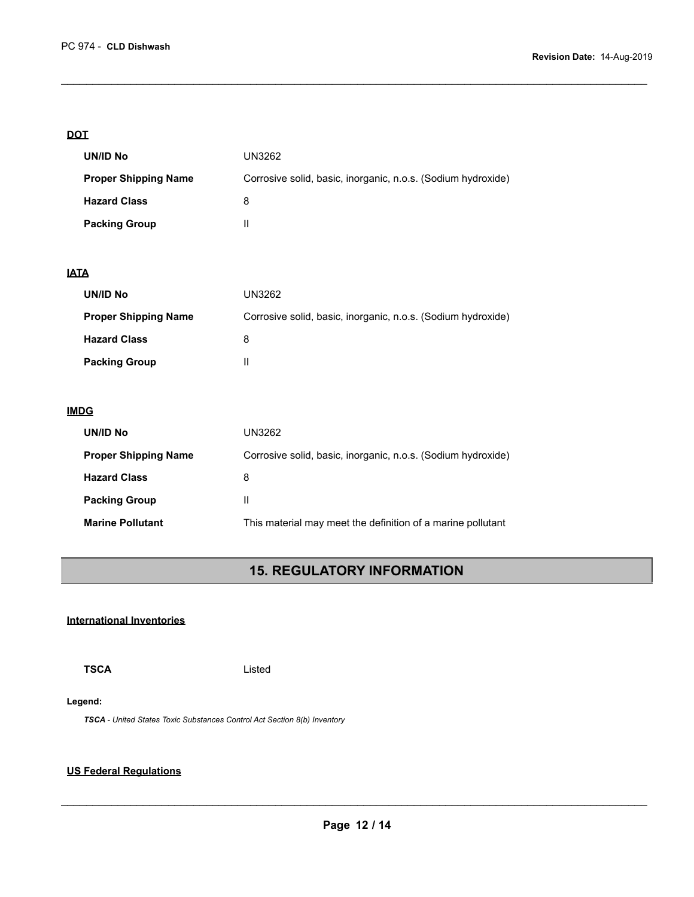#### **DOT**

| UN/ID No                    | UN3262                                                       |
|-----------------------------|--------------------------------------------------------------|
| <b>Proper Shipping Name</b> | Corrosive solid, basic, inorganic, n.o.s. (Sodium hydroxide) |
| <b>Hazard Class</b>         | 8                                                            |
| <b>Packing Group</b>        | Ш                                                            |

 $\mathcal{L}_\mathcal{L} = \{ \mathcal{L}_\mathcal{L} = \{ \mathcal{L}_\mathcal{L} = \{ \mathcal{L}_\mathcal{L} = \{ \mathcal{L}_\mathcal{L} = \{ \mathcal{L}_\mathcal{L} = \{ \mathcal{L}_\mathcal{L} = \{ \mathcal{L}_\mathcal{L} = \{ \mathcal{L}_\mathcal{L} = \{ \mathcal{L}_\mathcal{L} = \{ \mathcal{L}_\mathcal{L} = \{ \mathcal{L}_\mathcal{L} = \{ \mathcal{L}_\mathcal{L} = \{ \mathcal{L}_\mathcal{L} = \{ \mathcal{L}_\mathcal{$ 

#### **IATA**

| UN/ID No                    | UN3262                                                       |
|-----------------------------|--------------------------------------------------------------|
| <b>Proper Shipping Name</b> | Corrosive solid, basic, inorganic, n.o.s. (Sodium hydroxide) |
| <b>Hazard Class</b>         | 8                                                            |
| <b>Packing Group</b>        |                                                              |

### **IMDG**

| UN/ID No                    | UN3262                                                       |
|-----------------------------|--------------------------------------------------------------|
| <b>Proper Shipping Name</b> | Corrosive solid, basic, inorganic, n.o.s. (Sodium hydroxide) |
| <b>Hazard Class</b>         | 8                                                            |
| <b>Packing Group</b>        | Ш                                                            |
| <b>Marine Pollutant</b>     | This material may meet the definition of a marine pollutant  |

# **15. REGULATORY INFORMATION**

### **International Inventories**

**TSCA** Listed

#### **Legend:**

*TSCA - United States Toxic Substances Control Act Section 8(b) Inventory* 

### **US Federal Regulations**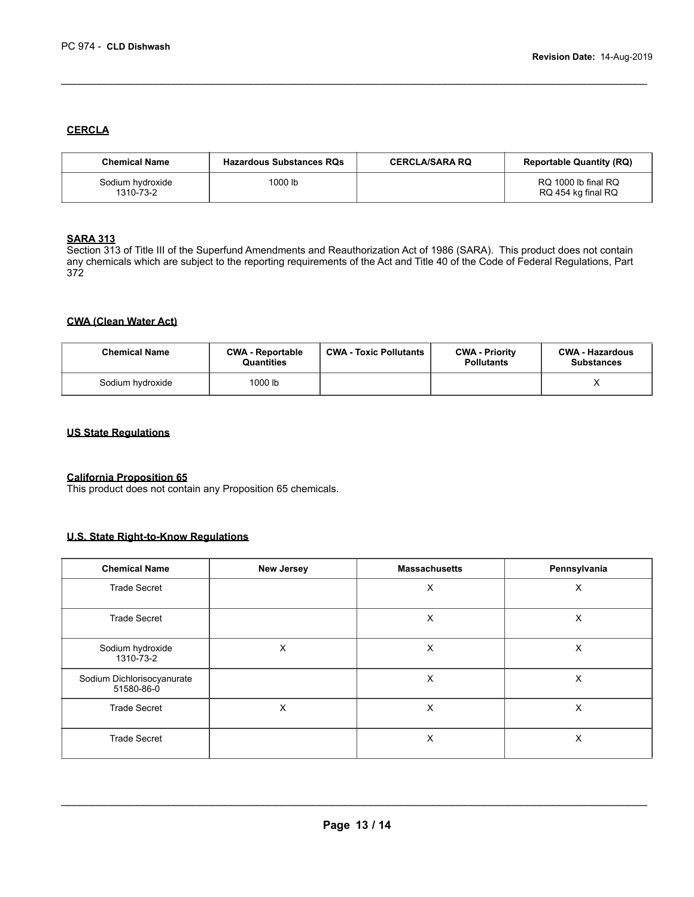#### **CERCLA**

| <b>Chemical Name</b>          | <b>Hazardous Substances RQs</b> | <b>CERCLA/SARA RQ</b> | <b>Reportable Quantity (RQ)</b>           |
|-------------------------------|---------------------------------|-----------------------|-------------------------------------------|
| Sodium hydroxide<br>1310-73-2 | 1000 lb                         |                       | RQ 1000 lb final RQ<br>RQ 454 kg final RQ |

 $\mathcal{L}_\mathcal{L} = \{ \mathcal{L}_\mathcal{L} = \{ \mathcal{L}_\mathcal{L} = \{ \mathcal{L}_\mathcal{L} = \{ \mathcal{L}_\mathcal{L} = \{ \mathcal{L}_\mathcal{L} = \{ \mathcal{L}_\mathcal{L} = \{ \mathcal{L}_\mathcal{L} = \{ \mathcal{L}_\mathcal{L} = \{ \mathcal{L}_\mathcal{L} = \{ \mathcal{L}_\mathcal{L} = \{ \mathcal{L}_\mathcal{L} = \{ \mathcal{L}_\mathcal{L} = \{ \mathcal{L}_\mathcal{L} = \{ \mathcal{L}_\mathcal{$ 

#### **SARA 313**

Section 313 of Title III of the Superfund Amendments and Reauthorization Act of 1986 (SARA). This product does not contain any chemicals which are subject to the reporting requirements of the Act and Title 40 of the Code of Federal Regulations, Part 372

#### **CWA (Clean Water Act)**

| <b>Chemical Name</b> | <b>CWA - Reportable</b><br><b>Quantities</b> | <b>CWA - Toxic Pollutants</b> | <b>CWA - Priority</b><br><b>Pollutants</b> | <b>CWA - Hazardous</b><br><b>Substances</b> |
|----------------------|----------------------------------------------|-------------------------------|--------------------------------------------|---------------------------------------------|
| Sodium hydroxide     | 1000 lb                                      |                               |                                            |                                             |

#### **US State Regulations**

#### **California Proposition 65**

This product does not contain any Proposition 65 chemicals.

### **U.S. State Right-to-Know Regulations**

| <b>Chemical Name</b>                     | <b>New Jersey</b> | <b>Massachusetts</b> | Pennsylvania |
|------------------------------------------|-------------------|----------------------|--------------|
| <b>Trade Secret</b>                      |                   | X                    | X            |
| <b>Trade Secret</b>                      |                   | X                    | X            |
| Sodium hydroxide<br>1310-73-2            | X                 | X                    | X            |
| Sodium Dichlorisocyanurate<br>51580-86-0 |                   | X                    | X            |
| <b>Trade Secret</b>                      | X                 | X                    | X            |
| <b>Trade Secret</b>                      |                   | X                    | X            |